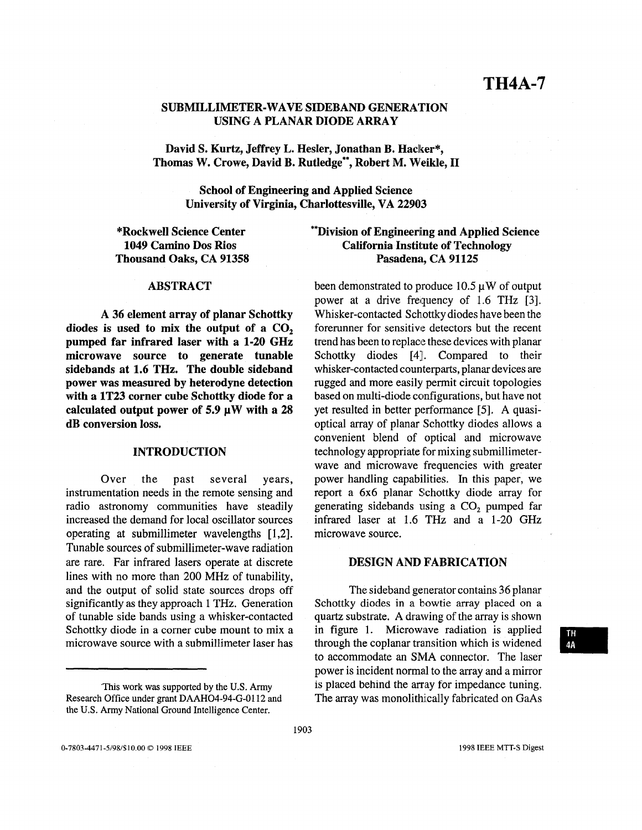# SUBMILLIMETER-WAVE SIDEBAND GENERATION USING A PLANAR DIODE ARRAY

David S. Kurtz, Jeffrey L. Hesler, Jonathan B. Hacker\*, Thomas **W.** Crowe, David B. Rutledge\*\*, Robert M. Weikle, **I1** 

> School of Engineering and Applied Science University of Virginia, Charlottesville, VA **22903**

\*Rockwell Science Center **1049** Camino Dos Rios Thousand Oaks, CA **91358** 

# \*\*Division of Engineering and Applied Science California Institute of Technology Pasadena, CA **91125**

#### ABSTRACT

A **36** element array of planar Schottky diodes is used to mix the output of a CO, pumped far infrared laser with a **1-20** GHz microwave source to generate tunable sidebands at **1.6** THz. The double sideband power was measured by heterodyne detection with a **1T23** corner cube Schottky diode for a calculated output power of **5.9 pW** with **a 28**  dB conversion loss.

#### INTRODUCTION

Over the past several years, instrumentation needs in the remote sensing and radio astronomy communities have steadily increased the demand for local oscillator sources operating at submillimeter wavelengths [ 1,2]. Tunable sources of submillimeter-wave radiation are rare. Far infrared lasers operate at discrete lines with no more than 200 **MHz** of tunability, and the output of solid state sources drops off significantly **as** they approach **1** THz. Generation of tunable side bands using a whisker-contacted Schottky diode in a corner cube mount to mix a microwave source with a submillimeter laser has

been demonstrated to produce  $10.5 \mu W$  of output power at a drive frequency of 1.6 THz **[3].**  Whisker-contacted Schottky diodes have been the forerunner for sensitive detectors but the recent trend has been to replace these devices with planar Schottky diodes [4]. Compared to their whisker-contacted counterparts, planar devices are rugged and more easily permit circuit topologies based on multi-diode configurations, but have not yet resulted in better performance [SI. **A** quasioptical array of planar Schottky diodes allows a convenient blend of optical and microwave technology appropriate for mixing submillimeterwave and microwave frequencies with greater power handling capabilities. In this paper, we report a 6x6 planar Schottky diode array for generating sidebands using a CO, pumped far infrared laser at 1.6 THz and a 1-20 **GHz**  microwave source.

## DESIGN AND FABRICATION

The sideband generator contains 36 planar Schottky diodes in a bowtie array placed on a quartz substrate. **A** drawing of the array is shown in figure **1.** Microwave radiation is applied through the coplanar transition which is widened to accommodate an **SMA** connector. The laser power is incident normal to the array and **a** mirror is placed behind the array for impedance tuning. The array was monolithically fabricated on GaAs

<sup>&#</sup>x27;This work was supported by the **U.S.** Army Research Office under grant DAAH04-94-G-0112 and the **U.S.** Army National Ground Intelligence Center.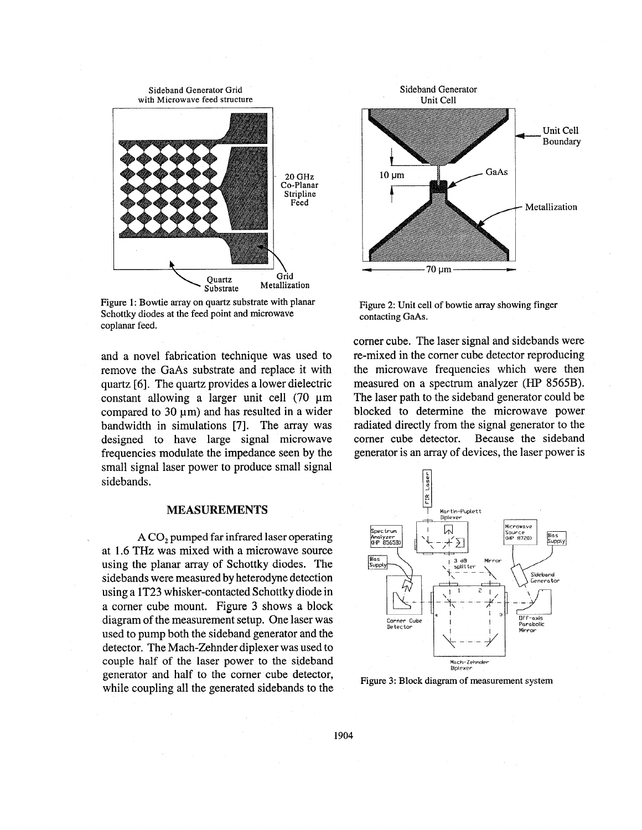

Figure 1: Bowtie array on quartz substrate with planar Schottky diodes at the feed point and microwave coplanar feed.

and a novel fabrication technique was used to remove the GaAs substrate and replace it with quartz [6]. The quartz provides a lower dielectric constant allowing a larger unit cell  $(70 \mu m)$ compared to  $30 \mu m$ ) and has resulted in a wider bandwidth in simulations [7]. The array was designed to have large signal microwave frequencies modulate the impedance seen by the small signal laser power to produce small signal sidebands.

### **MEASUREMENT§**

**A** CO, pumped far infrared **laser** operating at 1.6 THz was mixed with a microwave source using the planar array of Schottky diodes. The sidebands were measured by heterodyne detection using a 1T23 whisker-contacted Schottky diode in a corner cube mount. Figure **3** shows **a** block diagram of the measurement setup. One laser was used to pump both the sideband generator and the detector. The Mach-Zehnder diplexer was used to couple half of the laser power to the sideband generator and half to the corner cube detector, while coupling all the generated sidebands to the



Figure 2: Unit cell of bowtie array showing finger contacting GaAs.

comer cube. The laser signal and sidebands were re-mixed in the corner cube detector reproducing the microwave frequencies which were then measured on a spectrum analyzer (HP 8565B). The laser path to the sideband generator could be blocked to determine the microwave power radiated directly from the signal generator to the corner cube detector. Because the sideband generator is an array of devices, the laser power is



Figure **3:** Block diagram of measurement system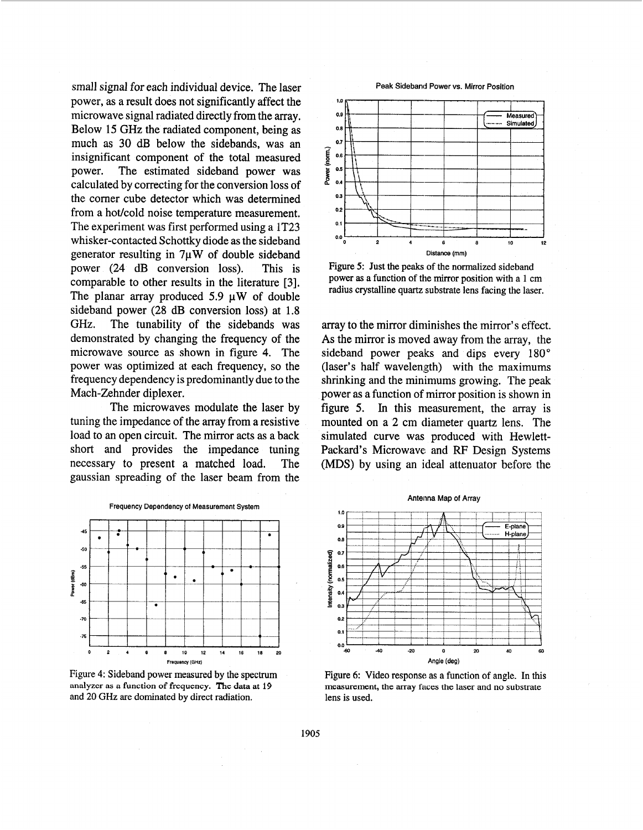small signal for each individual device. The laser power, as a result does not significantly affect the microwave signal radiated directly from the array. Below **15** GHz the radiated component, being as much as **30** dB below the sidebands, was an insignificant component of the total measured power. The estimated sideband power was calculated by correcting for the conversion loss of the corner cube detector which was determined from a hot/cold noise temperature measurement, The experiment was first performed using a 1T23 whisker-contacted Schottky diode as the sideband generator resulting in **7pW** of double sideband power (24 **dB** conversion loss). This is comparable to other results in the literature **[3].**  The planar array produced 5.9  $\mu$ W of double sideband power (28 **dB** conversion loss) at **1.8**  GHz. The tunability of the sidebands was demonstrated by changing the frequency of the microwave source as shown in figure 4. The power was optimized at each frequency, so the frequency dependency is predominantly due to the Mach-Zehnder diplexer.

The microwaves modulate the laser by tuning the impedance of the array from a resistive load to an open circuit. The mirror acts as a back short and provides the impedance tuning necessary to present a matched load. The gaussian spreading of the laser beam from the



**Figure 4: Sideband power measured by the spectrum analyzer as a function of frequency. The data at 19 and 20 GHz** are **dominated by direct radiation.** 

#### **Peak Sideband Power vs. Mirror Position**



**Figure 5: Just the peaks of the normalized sideband power as a function of the mirror position with a** 1 cm **radius crystalline quartz substrate lens facing the laser.** 

array to the mirror diminishes the mirror's effect. **As** the mirror is moved away from the array, the sideband power peaks and dips every **180"**  (laser's half wavelength) with the maximums shrinking and the minimums growing. The peak power as a function of mirror position is shown in figure *5.* In this measurement, the array is mounted on a **2** cm diameter quartz lens. The simulated curve was produced with Hewlett-Packard's Microwave: and RF Design Systems **(MDS)** by using an ideal attenuator before the



**Figure 6: Video response as a function of angle. In this measurement, the array faces the laser and no substrate lens is used.**